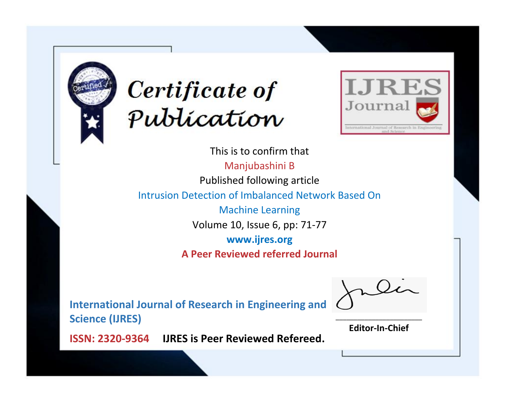



This is to confirm that Manjubashini B Published following article Intrusion Detection of Imbalanced Network Based On Machine Learning Volume 10, Issue 6, pp: 71-77 **www.ijres.org A Peer Reviewed referred Journal**

**International Journal of Research in Engineering and Science (IJRES)**

\_\_\_\_\_\_\_\_\_\_\_\_\_\_\_\_\_\_\_\_\_\_\_\_ **Editor-In-Chief**

**Journal.**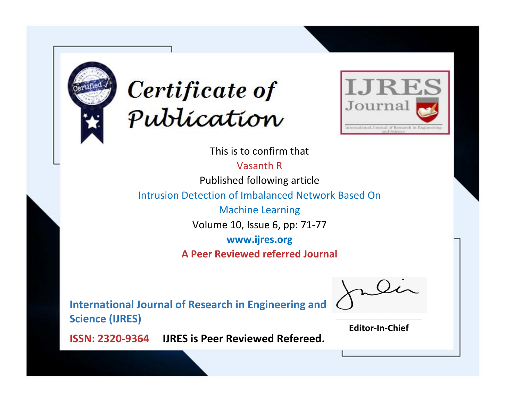



This is to confirm that Vasanth R

Published following article

Intrusion Detection of Imbalanced Network Based On

Machine Learning Volume 10, Issue 6, pp: 71-77

**www.ijres.org**

**A Peer Reviewed referred Journal**

**International Journal of Research in Engineering and Science (IJRES)**

\_\_\_\_\_\_\_\_\_\_\_\_\_\_\_\_\_\_\_\_\_\_\_\_ **Editor-In-Chief**

**Journal.**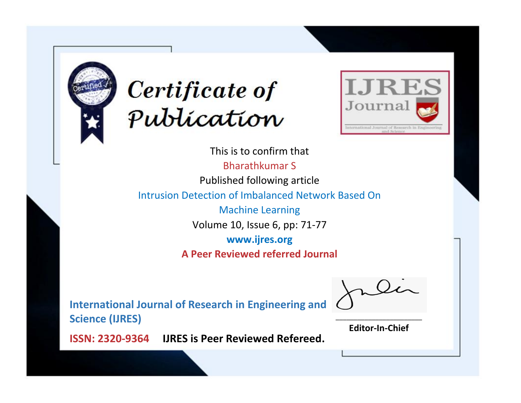



This is to confirm that Bharathkumar S Published following article Intrusion Detection of Imbalanced Network Based On Machine Learning Volume 10, Issue 6, pp: 71-77 **www.ijres.org A Peer Reviewed referred Journal**

**International Journal of Research in Engineering and Science (IJRES)**

\_\_\_\_\_\_\_\_\_\_\_\_\_\_\_\_\_\_\_\_\_\_\_\_ **Editor-In-Chief**

**Journal.**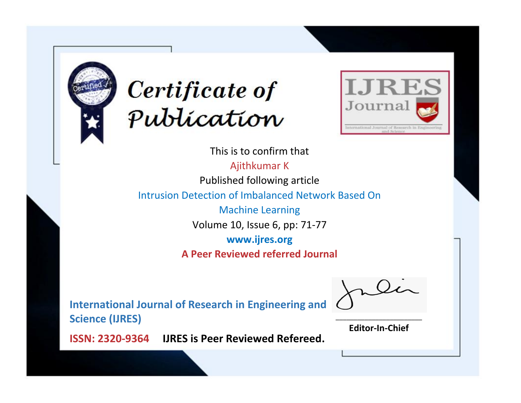



This is to confirm that Ajithkumar K Published following article Intrusion Detection of Imbalanced Network Based On Machine Learning Volume 10, Issue 6, pp: 71-77 **www.ijres.org A Peer Reviewed referred Journal**

**International Journal of Research in Engineering and Science (IJRES)**

\_\_\_\_\_\_\_\_\_\_\_\_\_\_\_\_\_\_\_\_\_\_\_\_ **Editor-In-Chief**

**Journal.**